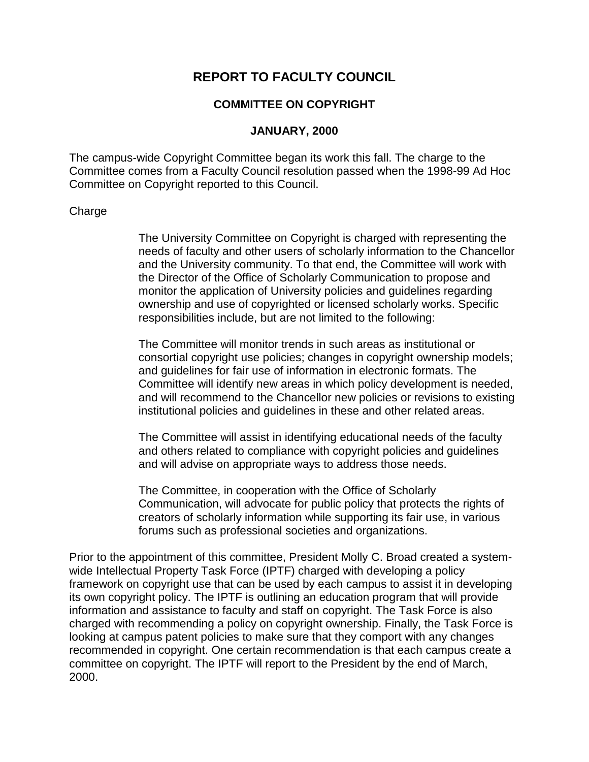## **REPORT TO FACULTY COUNCIL**

## **COMMITTEE ON COPYRIGHT**

## **JANUARY, 2000**

The campus-wide Copyright Committee began its work this fall. The charge to the Committee comes from a Faculty Council resolution passed when the 1998-99 Ad Hoc Committee on Copyright reported to this Council.

## Charge

The University Committee on Copyright is charged with representing the needs of faculty and other users of scholarly information to the Chancellor and the University community. To that end, the Committee will work with the Director of the Office of Scholarly Communication to propose and monitor the application of University policies and guidelines regarding ownership and use of copyrighted or licensed scholarly works. Specific responsibilities include, but are not limited to the following:

The Committee will monitor trends in such areas as institutional or consortial copyright use policies; changes in copyright ownership models; and guidelines for fair use of information in electronic formats. The Committee will identify new areas in which policy development is needed, and will recommend to the Chancellor new policies or revisions to existing institutional policies and guidelines in these and other related areas.

The Committee will assist in identifying educational needs of the faculty and others related to compliance with copyright policies and guidelines and will advise on appropriate ways to address those needs.

The Committee, in cooperation with the Office of Scholarly Communication, will advocate for public policy that protects the rights of creators of scholarly information while supporting its fair use, in various forums such as professional societies and organizations.

Prior to the appointment of this committee, President Molly C. Broad created a systemwide Intellectual Property Task Force (IPTF) charged with developing a policy framework on copyright use that can be used by each campus to assist it in developing its own copyright policy. The IPTF is outlining an education program that will provide information and assistance to faculty and staff on copyright. The Task Force is also charged with recommending a policy on copyright ownership. Finally, the Task Force is looking at campus patent policies to make sure that they comport with any changes recommended in copyright. One certain recommendation is that each campus create a committee on copyright. The IPTF will report to the President by the end of March, 2000.